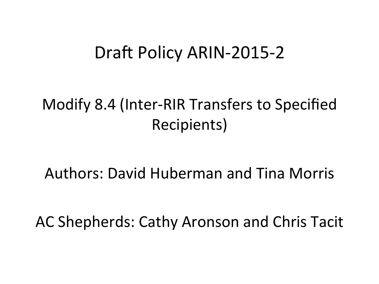#### Draft Policy ARIN-2015-2

#### Modify 8.4 (Inter-RIR Transfers to Specified Recipients)

Authors: David Huberman and Tina Morris

AC Shepherds: Cathy Aronson and Chris Tacit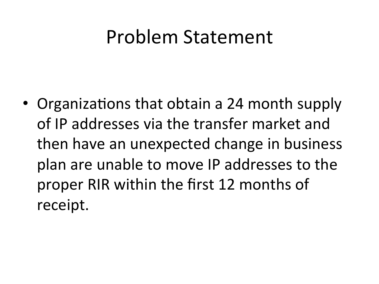#### Problem Statement

• Organizations that obtain a 24 month supply of IP addresses via the transfer market and then have an unexpected change in business plan are unable to move IP addresses to the proper RIR within the first 12 months of receipt.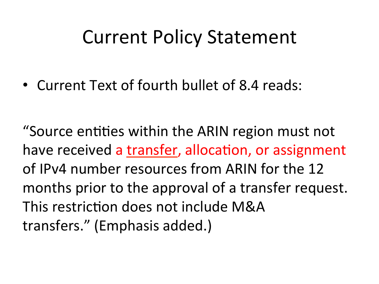### **Current Policy Statement**

• Current Text of fourth bullet of 8.4 reads:

"Source entities within the ARIN region must not have received a transfer, allocation, or assignment of IPv4 number resources from ARIN for the 12 months prior to the approval of a transfer request. This restriction does not include M&A transfers." (Emphasis added.)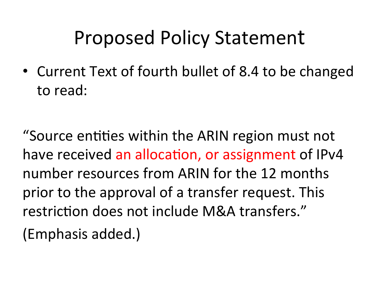# Proposed Policy Statement

• Current Text of fourth bullet of 8.4 to be changed to read:

"Source entities within the ARIN region must not have received an allocation, or assignment of IPv4 number resources from ARIN for the 12 months prior to the approval of a transfer request. This restriction does not include M&A transfers." (Emphasis added.)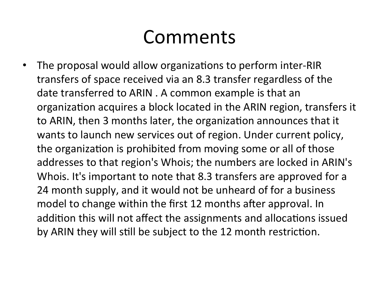## Comments

• The proposal would allow organizations to perform inter-RIR transfers of space received via an 8.3 transfer regardless of the date transferred to ARIN . A common example is that an organization acquires a block located in the ARIN region, transfers it to ARIN, then 3 months later, the organization announces that it wants to launch new services out of region. Under current policy, the organization is prohibited from moving some or all of those addresses to that region's Whois; the numbers are locked in ARIN's Whois. It's important to note that 8.3 transfers are approved for a 24 month supply, and it would not be unheard of for a business model to change within the first 12 months after approval. In addition this will not affect the assignments and allocations issued by ARIN they will still be subject to the 12 month restriction.